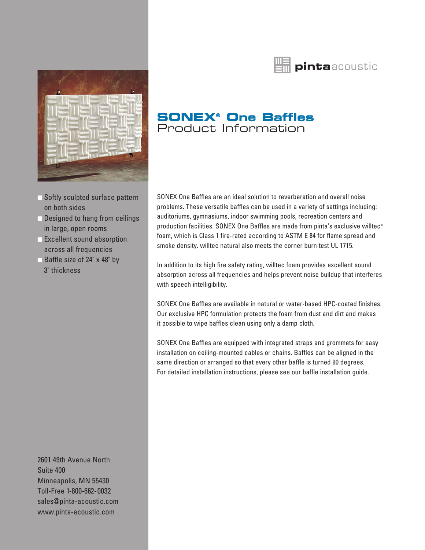



- Softly sculpted surface pattern on both sides
- Designed to hang from ceilings in large, open rooms
- **Excellent sound absorption** across all frequencies
- Baffle size of 24" x 48" by 3" thickness

2601 49th Avenue North Suite 400 Minneapolis, MN 55430 Toll-Free 1-800-662-0032 sales@pinta-acoustic.com www.pinta-acoustic.com

# **SONEX® One Baffles** Product Information

SONEX One Baffles are an ideal solution to reverberation and overall noise problems. These versatile baffles can be used in a variety of settings including: auditoriums, gymnasiums, indoor swimming pools, recreation centers and production facilities. SONEX One Baffles are made from pinta's exclusive willtec® foam, which is Class 1 fire-rated according to ASTM E 84 for flame spread and smoke density. willtec natural also meets the corner burn test UL 1715.

In addition to its high fire safety rating, willtec foam provides excellent sound absorption across all frequencies and helps prevent noise buildup that interferes with speech intelligibility.

SONEX One Baffles are available in natural or water-based HPC-coated finishes. Our exclusive HPC formulation protects the foam from dust and dirt and makes it possible to wipe baffles clean using only a damp cloth.

SONEX One Baffles are equipped with integrated straps and grommets for easy installation on ceiling-mounted cables or chains. Baffles can be aligned in the same direction or arranged so that every other baffle is turned 90 degrees. For detailed installation instructions, please see our baffle installation guide.